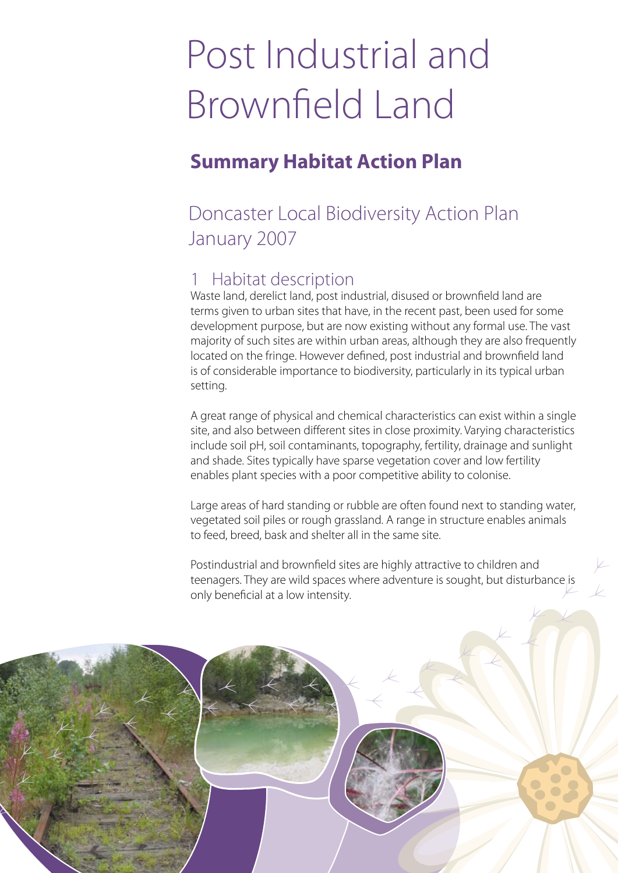# Post Industrial and Brownfield Land

### **Summary Habitat Action Plan**

### Doncaster Local Biodiversity Action Plan January 2007

#### 1 Habitat description

Waste land, derelict land, post industrial, disused or brownfield land are terms given to urban sites that have, in the recent past, been used for some development purpose, but are now existing without any formal use. The vast majority of such sites are within urban areas, although they are also frequently located on the fringe. However defined, post industrial and brownfield land is of considerable importance to biodiversity, particularly in its typical urban setting.

A great range of physical and chemical characteristics can exist within a single site, and also between different sites in close proximity. Varying characteristics include soil pH, soil contaminants, topography, fertility, drainage and sunlight and shade. Sites typically have sparse vegetation cover and low fertility enables plant species with a poor competitive ability to colonise.

Large areas of hard standing or rubble are often found next to standing water, vegetated soil piles or rough grassland. A range in structure enables animals to feed, breed, bask and shelter all in the same site.

Postindustrial and brownfield sites are highly attractive to children and teenagers. They are wild spaces where adventure is sought, but disturbance is only beneficial at a low intensity.

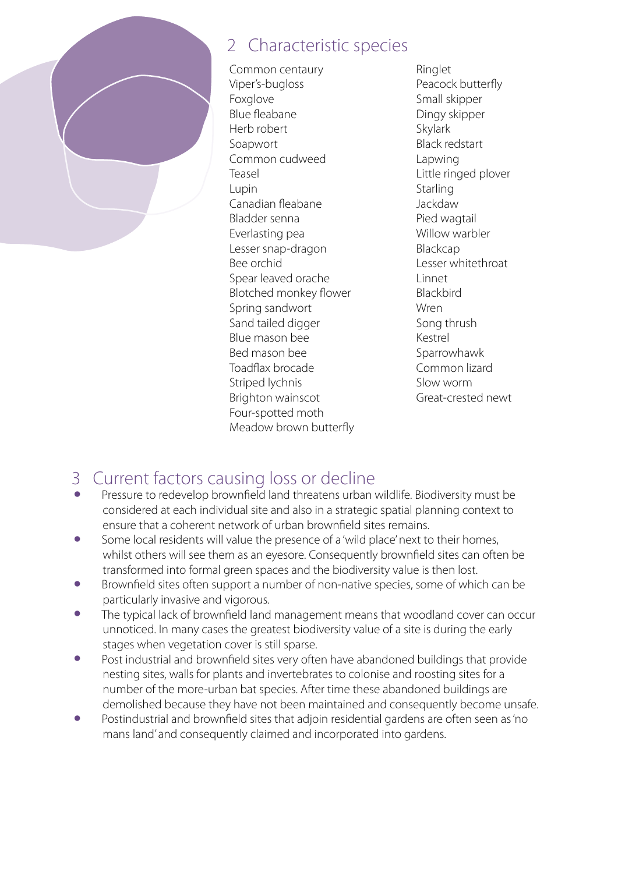

### 2 Characteristic species

Common centaury Viper's-bugloss Foxglove Blue fleabane Herb robert Soapwort Common cudweed Teasel Lupin Canadian fleabane Bladder senna Everlasting pea Lesser snap-dragon Bee orchid Spear leaved orache Blotched monkey flower Spring sandwort Sand tailed digger Blue mason bee Bed mason bee Toadflax brocade Striped lychnis Brighton wainscot Four-spotted moth Meadow brown butterfly Ringlet Peacock butterfly Small skipper Dingy skipper Skylark Black redstart Lapwing Little ringed plover **Starling** Jackdaw Pied wagtail Willow warbler Blackcap Lesser whitethroat Linnet **Blackbird** Wren Song thrush Kestrel **Sparrowhawk** Common lizard Slow worm Great-crested newt

## 3 Current factors causing loss or decline

- Pressure to redevelop brownfield land threatens urban wildlife. Biodiversity must be considered at each individual site and also in a strategic spatial planning context to ensure that a coherent network of urban brownfield sites remains.
- Some local residents will value the presence of a 'wild place' next to their homes, whilst others will see them as an eyesore. Consequently brownfield sites can often be transformed into formal green spaces and the biodiversity value is then lost.
- Brownfield sites often support a number of non-native species, some of which can be particularly invasive and vigorous.
- The typical lack of brownfield land management means that woodland cover can occur unnoticed. In many cases the greatest biodiversity value of a site is during the early stages when vegetation cover is still sparse.
- Post industrial and brownfield sites very often have abandoned buildings that provide nesting sites, walls for plants and invertebrates to colonise and roosting sites for a number of the more-urban bat species. After time these abandoned buildings are demolished because they have not been maintained and consequently become unsafe.
- Postindustrial and brownfield sites that adjoin residential gardens are often seen as 'no mans land' and consequently claimed and incorporated into gardens.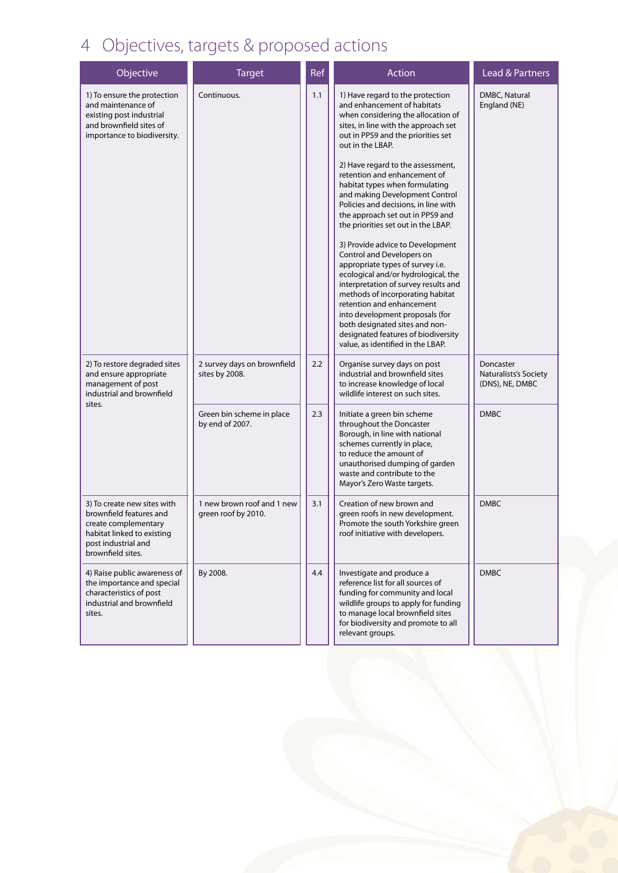### 4 Objectives, targets & proposed actions

| Objective                                                                                                                                                | <b>Target</b>                                     | Ref | Action                                                                                                                                                                                                                                                                                                                                                                                                                                                                                                                                                                                                                                                                                                                                                                                                                                                                    | <b>Lead &amp; Partners</b>                            |
|----------------------------------------------------------------------------------------------------------------------------------------------------------|---------------------------------------------------|-----|---------------------------------------------------------------------------------------------------------------------------------------------------------------------------------------------------------------------------------------------------------------------------------------------------------------------------------------------------------------------------------------------------------------------------------------------------------------------------------------------------------------------------------------------------------------------------------------------------------------------------------------------------------------------------------------------------------------------------------------------------------------------------------------------------------------------------------------------------------------------------|-------------------------------------------------------|
| 1) To ensure the protection<br>and maintenance of<br>existing post industrial<br>and brownfield sites of<br>importance to biodiversity.                  | Continuous.                                       | 1.1 | 1) Have regard to the protection<br>and enhancement of habitats<br>when considering the allocation of<br>sites, in line with the approach set<br>out in PPS9 and the priorities set<br>out in the LBAP.<br>2) Have regard to the assessment,<br>retention and enhancement of<br>habitat types when formulating<br>and making Development Control<br>Policies and decisions, in line with<br>the approach set out in PPS9 and<br>the priorities set out in the LBAP.<br>3) Provide advice to Development<br>Control and Developers on<br>appropriate types of survey i.e.<br>ecological and/or hydrological, the<br>interpretation of survey results and<br>methods of incorporating habitat<br>retention and enhancement<br>into development proposals (for<br>both designated sites and non-<br>designated features of biodiversity<br>value, as identified in the LBAP. | DMBC, Natural<br>England (NE)                         |
| 2) To restore degraded sites<br>and ensure appropriate<br>management of post<br>industrial and brownfield<br>sites.                                      | 2 survey days on brownfield<br>sites by 2008.     | 2.2 | Organise survey days on post<br>industrial and brownfield sites<br>to increase knowledge of local<br>wildlife interest on such sites.                                                                                                                                                                                                                                                                                                                                                                                                                                                                                                                                                                                                                                                                                                                                     | Doncaster<br>Naturalists's Society<br>(DNS), NE, DMBC |
|                                                                                                                                                          | Green bin scheme in place<br>by end of 2007.      | 2.3 | Initiate a green bin scheme<br>throughout the Doncaster<br>Borough, in line with national<br>schemes currently in place,<br>to reduce the amount of<br>unauthorised dumping of garden<br>waste and contribute to the<br>Mayor's Zero Waste targets.                                                                                                                                                                                                                                                                                                                                                                                                                                                                                                                                                                                                                       | <b>DMBC</b>                                           |
| 3) To create new sites with<br>brownfield features and<br>create complementary<br>habitat linked to existing<br>post industrial and<br>brownfield sites. | 1 new brown roof and 1 new<br>green roof by 2010. | 3.1 | Creation of new brown and<br>green roofs in new development.<br>Promote the south Yorkshire green<br>roof initiative with developers.                                                                                                                                                                                                                                                                                                                                                                                                                                                                                                                                                                                                                                                                                                                                     | <b>DMBC</b>                                           |
| 4) Raise public awareness of<br>the importance and special<br>characteristics of post<br>industrial and brownfield<br>sites.                             | By 2008.                                          | 4.4 | Investigate and produce a<br>reference list for all sources of<br>funding for community and local<br>wildlife groups to apply for funding<br>to manage local brownfield sites<br>for biodiversity and promote to all<br>relevant groups.                                                                                                                                                                                                                                                                                                                                                                                                                                                                                                                                                                                                                                  | <b>DMBC</b>                                           |